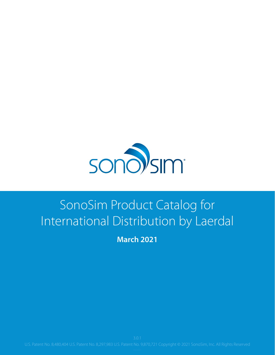

### SonoSim Product Catalog for International Distribution by Laerdal

**March 2021**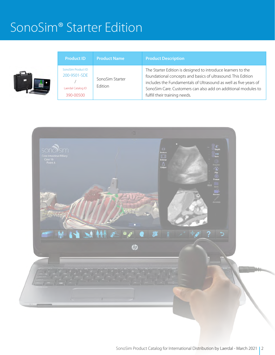#### SonoSim® Starter Edition

| <b>Product ID</b>                                                     | <b>Product Name</b>        | <b>Product Description</b>                                                                                                                                                                                                                                                                         |
|-----------------------------------------------------------------------|----------------------------|----------------------------------------------------------------------------------------------------------------------------------------------------------------------------------------------------------------------------------------------------------------------------------------------------|
| SonoSim Product ID<br>200-9501-SDE<br>Laerdal Catalog ID<br>390-00500 | SonoSim Starter<br>Edition | The Starter Edition is designed to introduce learners to the<br>foundational concepts and basics of ultrasound. This Edition<br>includes the Fundamentals of Ultrasound as well as five years of<br>SonoSim Care. Customers can also add on additional modules to<br>fulfill their training needs. |

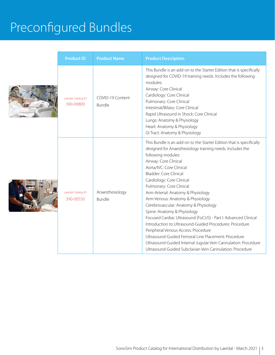# Preconfigured Bundles





| <b>Product ID</b>               | <b>Product Name</b>              | <b>Product Description</b>                                                                                                                                                                                                                                                                                                                                                                                                                                                                                                                                                                                                                                                                                                                                                                                 |
|---------------------------------|----------------------------------|------------------------------------------------------------------------------------------------------------------------------------------------------------------------------------------------------------------------------------------------------------------------------------------------------------------------------------------------------------------------------------------------------------------------------------------------------------------------------------------------------------------------------------------------------------------------------------------------------------------------------------------------------------------------------------------------------------------------------------------------------------------------------------------------------------|
| Laerdal Catalog ID<br>390-00800 | COVID-19 Content<br>Bundle       | This Bundle is an add-on to the Starter Edition that is specifically<br>designed for COVID-19 training needs. Includes the following<br>modules:<br>Airway: Core Clinical<br>Cardiology: Core Clinical<br>Pulmonary: Core Clinical<br>Intestinal/Biliary: Core Clinical<br>Rapid Ultrasound in Shock: Core Clinical<br>Lungs: Anatomy & Physiology<br>Heart: Anatomy & Physiology<br>GI Tract: Anatomy & Physiology                                                                                                                                                                                                                                                                                                                                                                                        |
| Laerdal Catalog ID<br>390-00550 | Anaesthesiology<br><b>Bundle</b> | This Bundle is an add-on to the Starter Edition that is specifically<br>designed for Anaesthesiology training needs. Includes the<br>following modules:<br>Airway: Core Clinical<br>Aorta/IVC: Core Clinical<br>Bladder: Core Clinical<br>Cardiology: Core Clinical<br>Pulmonary: Core Clinical<br>Arm-Arterial: Anatomy & Physiology<br>Arm-Venous: Anatomy & Physiology<br>Cerebrovascular: Anatomy & Physiology<br>Spine: Anatomy & Physiology<br>Focused Cardiac Ultrasound (FoCUS) - Part I: Advanced Clinical<br>Introduction to Ultrasound-Guided Procedures: Procedure<br>Peripheral Venous Access: Procedure<br>Ultrasound-Guided Femoral Line Placement: Procedure<br>Ultrasound-Guided Internal Jugular Vein Cannulation: Procedure<br>Ultrasound-Guided Subclavian Vein Cannulation: Procedure |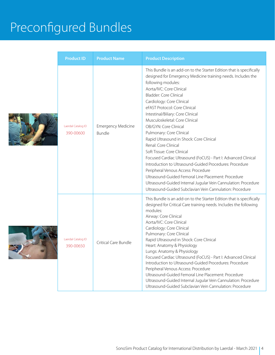# Preconfigured Bundles

| <b>Product ID</b>               | <b>Product Name</b>                 | <b>Product Description</b>                                                                                                                                                                                                                                                                                                                                                                                                                                                                                                                                                                                                                                                                                                                                                                                                                                            |
|---------------------------------|-------------------------------------|-----------------------------------------------------------------------------------------------------------------------------------------------------------------------------------------------------------------------------------------------------------------------------------------------------------------------------------------------------------------------------------------------------------------------------------------------------------------------------------------------------------------------------------------------------------------------------------------------------------------------------------------------------------------------------------------------------------------------------------------------------------------------------------------------------------------------------------------------------------------------|
| Laerdal Catalog ID<br>390-00600 | <b>Emergency Medicine</b><br>Bundle | This Bundle is an add-on to the Starter Edition that is specifically<br>designed for Emergency Medicine training needs. Includes the<br>following modules:<br>Aorta/IVC: Core Clinical<br>Bladder: Core Clinical<br>Cardiology: Core Clinical<br>eFAST Protocol: Core Clinical<br>Intestinal/Biliary: Core Clinical<br>Musculoskeletal: Core Clinical<br>OB/GYN: Core Clinical<br>Pulmonary: Core Clinical<br>Rapid Ultrasound in Shock: Core Clinical<br>Renal: Core Clinical<br>Soft Tissue: Core Clinical<br>Focused Cardiac Ultrasound (FoCUS) - Part I: Advanced Clinical<br>Introduction to Ultrasound-Guided Procedures: Procedure<br>Peripheral Venous Access: Procedure<br>Ultrasound-Guided Femoral Line Placement: Procedure<br>Ultrasound-Guided Internal Jugular Vein Cannulation: Procedure<br>Ultrasound-Guided Subclavian Vein Cannulation: Procedure |
| Laerdal Catalog ID<br>390-00650 | Critical Care Bundle                | This Bundle is an add-on to the Starter Edition that is specifically<br>designed for Critical Care training needs. Includes the following<br>modules:<br>Airway: Core Clinical<br>Aorta/IVC: Core Clinical<br>Cardiology: Core Clinical<br>Pulmonary: Core Clinical<br>Rapid Ultrasound in Shock: Core Clinical<br>Heart: Anatomy & Physiology<br>Lungs: Anatomy & Physiology<br>Focused Cardiac Ultrasound (FoCUS) - Part I: Advanced Clinical<br>Introduction to Ultrasound-Guided Procedures: Procedure<br>Peripheral Venous Access: Procedure<br>Ultrasound-Guided Femoral Line Placement: Procedure<br>Ultrasound-Guided Internal Jugular Vein Cannulation: Procedure<br>Ultrasound-Guided Subclavian Vein Cannulation: Procedure                                                                                                                                |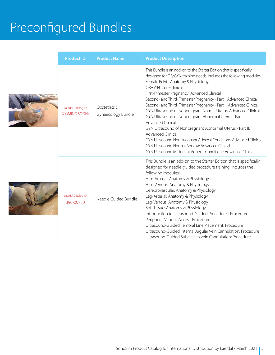# Preconfigured Bundles





| <b>Product ID</b>                   | <b>Product Name</b>                | <b>Product Description</b>                                                                                                                                                                                                                                                                                                                                                                                                                                                                                                                                                                                                                                                                                                                                                                                                                 |
|-------------------------------------|------------------------------------|--------------------------------------------------------------------------------------------------------------------------------------------------------------------------------------------------------------------------------------------------------------------------------------------------------------------------------------------------------------------------------------------------------------------------------------------------------------------------------------------------------------------------------------------------------------------------------------------------------------------------------------------------------------------------------------------------------------------------------------------------------------------------------------------------------------------------------------------|
| Laerdal Catalog ID<br>(COMING SOON) | Obstetrics &<br>Gynaecology Bundle | This Bundle is an add-on to the Starter Edition that is specifically<br>designed for OB/GYN training needs. Includes the following modules:<br>Female Pelvis: Anatomy & Physiology<br>OB/GYN: Core Clinical<br>First-Trimester Pregnancy: Advanced Clinical<br>Second- and Third-Trimester Pregnancy - Part I: Advanced Clinical<br>Second- and Third-Trimester Pregnancy - Part II: Advanced Clinical<br>GYN Ultrasound of Nonpregnant Normal Uterus: Advanced Clinical<br>GYN Ultrasound of Nonpregnant Abnormal Uterus - Part I:<br><b>Advanced Clinical</b><br>GYN Ultrasound of Nonpregnant Abnormal Uterus - Part II:<br>Advanced Clinical<br>GYN Ultrasound Nonmalignant Adnexal Conditions: Advanced Clinical<br>GYN Ultrasound Normal Adnexa: Advanced Clinical<br>GYN Ultrasound Malignant Adnexal Conditions: Advanced Clinical |
| Laerdal Catalog ID<br>390-00750     | Needle Guided Bundle               | This Bundle is an add-on to the Starter Edition that is specifically<br>designed for needle-guided procedure training. Includes the<br>following modules:<br>Arm-Arterial: Anatomy & Physiology<br>Arm-Venous: Anatomy & Physiology<br>Cerebrovascular: Anatomy & Physiology<br>Leg-Arterial: Anatomy & Physiology<br>Leg-Venous: Anatomy & Physiology<br>Soft Tissue: Anatomy & Physiology<br>Introduction to Ultrasound-Guided Procedures: Procedure<br>Peripheral Venous Access: Procedure<br>Ultrasound-Guided Femoral Line Placement: Procedure<br>Ultrasound-Guided Internal Jugular Vein Cannulation: Procedure<br>Ultrasound-Guided Subclavian Vein Cannulation: Procedure                                                                                                                                                         |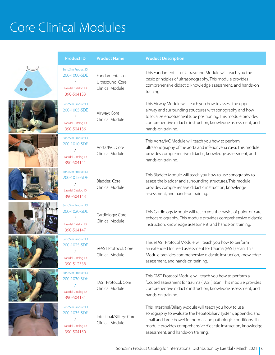# Core Clinical Modules

| <b>Product ID</b>                                                      | <b>Product Name</b>                                    | <b>Product Description</b>                                                                                                                                                                                                                                                                            |
|------------------------------------------------------------------------|--------------------------------------------------------|-------------------------------------------------------------------------------------------------------------------------------------------------------------------------------------------------------------------------------------------------------------------------------------------------------|
| SonoSim Product ID<br>200-1000-SDE<br>Laerdal Catalog ID<br>390-504133 | Fundamentals of<br>Ultrasound: Core<br>Clinical Module | This Fundamentals of Ultrasound Module will teach you the<br>basic principles of ultrasonography. This module provides<br>comprehensive didactic, knowledge assessment, and hands-on<br>training.                                                                                                     |
| SonoSim Product ID<br>200-1005-SDE<br>Laerdal Catalog ID<br>390-504136 | Airway: Core<br>Clinical Module                        | This Airway Module will teach you how to assess the upper<br>airway and surrounding structures with sonography and how<br>to localize endotracheal tube positioning. This module provides<br>comprehensive didactic instruction, knowledge assessment, and<br>hands-on training.                      |
| SonoSim Product ID<br>200-1010-SDE<br>Laerdal Catalog ID<br>390-504141 | Aorta/IVC: Core<br>Clinical Module                     | This Aorta/IVC Module will teach you how to perform<br>ultrasonography of the aorta and inferior vena cava. This module<br>provides comprehensive didactic, knowledge assessment, and<br>hands-on training.                                                                                           |
| SonoSim Product ID<br>200-1015-SDE<br>Laerdal Catalog ID<br>390-504143 | Bladder: Core<br>Clinical Module                       | This Bladder Module will teach you how to use sonography to<br>assess the bladder and surrounding structures. This module<br>provides comprehensive didactic instruction, knowledge<br>assessment, and hands-on training.                                                                             |
| SonoSim Product ID<br>200-1020-SDE<br>Laerdal Catalog ID<br>390-504147 | Cardiology: Core<br>Clinical Module                    | This Cardiology Module will teach you the basics of point-of-care<br>echocardiography. This module provides comprehensive didactic<br>instruction, knowledge assessment, and hands-on training.                                                                                                       |
| SonoSim Product ID<br>200-1025-SDE<br>Laerdal Catalog ID<br>390-512338 | eFAST Protocol: Core<br>Clinical Module                | This eFAST Protocol Module will teach you how to perform<br>an extended focused assessment for trauma (FAST) scan. This<br>Module provides comprehensive didactic instruction, knowledge<br>assessment, and hands-on training.                                                                        |
| SonoSim Product ID<br>200-1030-SDE<br>Laerdal Catalog ID<br>390-504131 | FAST Protocol: Core<br>Clinical Module                 | This FAST Protocol Module will teach you how to perform a<br>focused assessment for trauma (FAST) scan. This module provides<br>comprehensive didactic instruction, knowledge assessment, and<br>hands-on training.                                                                                   |
| SonoSim Product ID<br>200-1035-SDE<br>Laerdal Catalog ID<br>390-504150 | Intestinal/Biliary: Core<br>Clinical Module            | This Intestinal/Biliary Module will teach you how to use<br>sonography to evaluate the hepatobiliary system, appendix, and<br>small and large bowel for normal and pathologic conditions. This<br>module provides comprehensive didactic instruction, knowledge<br>assessment, and hands-on training. |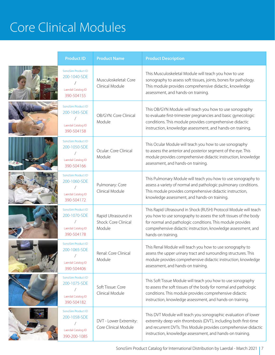### Core Clinical Modules

| <b>Product ID</b>                                                        | <b>Product Name</b>                                   | <b>Product Description</b>                                                                                                                                                                                                                                                                |
|--------------------------------------------------------------------------|-------------------------------------------------------|-------------------------------------------------------------------------------------------------------------------------------------------------------------------------------------------------------------------------------------------------------------------------------------------|
| SonoSim Product ID<br>200-1040-SDE<br>Laerdal Catalog ID<br>390-504155   | Musculoskeletal: Core<br>Clinical Module              | This Musculoskeletal Module will teach you how to use<br>sonography to assess soft tissues, joints, bones for pathology.<br>This module provides comprehensive didactic, knowledge<br>assessment, and hands-on training.                                                                  |
| SonoSim Product ID<br>200-1045-SDE<br>Laerdal Catalog ID<br>390-504158   | OB/GYN: Core Clinical<br>Module                       | This OB/GYN Module will teach you how to use sonography<br>to evaluate first-trimester pregnancies and basic gynecologic<br>conditions. This module provides comprehensive didactic<br>instruction, knowledge assessment, and hands-on training.                                          |
| SonoSim Product ID<br>200-1050-SDE<br>Laerdal Catalog ID<br>390-504166   | Ocular: Core Clinical<br>Module                       | This Ocular Module will teach you how to use sonography<br>to assess the anterior and posterior segment of the eye. This<br>module provides comprehensive didactic instruction, knowledge<br>assessment, and hands-on training.                                                           |
| SonoSim Product ID<br>200-1060-SDE<br>Laerdal Catalog ID<br>390-504172   | Pulmonary: Core<br>Clinical Module                    | This Pulmonary Module will teach you how to use sonography to<br>assess a variety of normal and pathologic pulmonary conditions.<br>This module provides comprehensive didactic instruction,<br>knowledge assessment, and hands-on training.                                              |
| SonoSim Product ID<br>200-1070-SDE<br>Laerdal Catalog ID<br>390-504178   | Rapid Ultrasound in<br>Shock: Core Clinical<br>Module | This Rapid Ultrasound in Shock (RUSH) Protocol Module will teach<br>you how to use sonography to assess the soft tissues of the body<br>for normal and pathologic conditions. This module provides<br>comprehensive didactic instruction, knowledge assessment, and<br>hands-on training. |
| SonoSim Product ID<br>200-1065-SDE<br>Laerdal Catalog ID<br>390-504406   | Renal: Core Clinical<br>Module                        | This Renal Module will teach you how to use sonography to<br>assess the upper urinary tract and surrounding structures. This<br>module provides comprehensive didactic instruction, knowledge<br>assessment, and hands-on training.                                                       |
| SonoSim Product ID<br>200-1075-SDE<br>Laerdal Catalog ID<br>390-504182   | Soft Tissue: Core<br>Clinical Module                  | This Soft Tissue Module will teach you how to use sonography<br>to assess the soft tissues of the body for normal and pathologic<br>conditions. This module provides comprehensive didactic<br>instruction, knowledge assessment, and hands-on training.                                  |
| SonoSim Product ID<br>200-1058-SDE<br>Laerdal Catalog ID<br>390-200-1085 | DVT - Lower Extremity:<br>Core Clinical Module        | This DVT Module will teach you sonographic evaluation of lower<br>extremity deep vein thrombosis (DVT), including both first-time<br>and recurrent DVTs. This Module provides comprehensive didactic<br>instruction, knowledge assessment, and hands-on training.                         |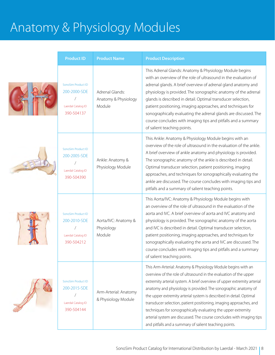T

| <b>Product ID</b>                                                      | <b>Product Name</b>                               | <b>Product Description</b>                                                                                                                                                                                                                                                                                                                                                                                                                                                                                                                                                                                                       |
|------------------------------------------------------------------------|---------------------------------------------------|----------------------------------------------------------------------------------------------------------------------------------------------------------------------------------------------------------------------------------------------------------------------------------------------------------------------------------------------------------------------------------------------------------------------------------------------------------------------------------------------------------------------------------------------------------------------------------------------------------------------------------|
| SonoSim Product ID<br>200-2000-SDE<br>Laerdal Catalog ID<br>390-504137 | Adrenal Glands:<br>Anatomy & Physiology<br>Module | This Adrenal Glands: Anatomy & Physiology Module begins<br>with an overview of the role of ultrasound in the evaluation of<br>adrenal glands. A brief overview of adrenal gland anatomy and<br>physiology is provided. The sonographic anatomy of the adrenal<br>glands is described in detail. Optimal transducer selection,<br>patient positioning, imaging approaches, and techniques for<br>sonographically evaluating the adrenal glands are discussed. The<br>course concludes with imaging tips and pitfalls and a summary<br>of salient teaching points.                                                                 |
| SonoSim Product ID<br>200-2005-SDE<br>Laerdal Catalog ID<br>390-504390 | Ankle: Anatomy &<br>Physiology Module             | This Ankle: Anatomy & Physiology Module begins with an<br>overview of the role of ultrasound in the evaluation of the ankle.<br>A brief overview of ankle anatomy and physiology is provided.<br>The sonographic anatomy of the ankle is described in detail.<br>Optimal transducer selection, patient positioning, imaging<br>approaches, and techniques for sonographically evaluating the<br>ankle are discussed. The course concludes with imaging tips and<br>pitfalls and a summary of salient teaching points.                                                                                                            |
| SonoSim Product ID<br>200-2010-SDE<br>Laerdal Catalog ID<br>390-504212 | Aorta/IVC: Anatomy &<br>Physiology<br>Module      | This Aorta/IVC: Anatomy & Physiology Module begins with<br>an overview of the role of ultrasound in the evaluation of the<br>aorta and IVC. A brief overview of aorta and IVC anatomy and<br>physiology is provided. The sonographic anatomy of the aorta<br>and IVC is described in detail. Optimal transducer selection,<br>patient positioning, imaging approaches, and techniques for<br>sonographically evaluating the aorta and IVC are discussed. The<br>course concludes with imaging tips and pitfalls and a summary<br>of salient teaching points.                                                                     |
| SonoSim Product ID<br>200-2015-SDE<br>Laerdal Catalog ID<br>390-504144 | Arm-Arterial: Anatomy<br>& Physiology Module      | This Arm-Arterial: Anatomy & Physiology Module begins with an<br>overview of the role of ultrasound in the evaluation of the upper<br>extremity arterial system. A brief overview of upper extremity arterial<br>anatomy and physiology is provided. The sonographic anatomy of<br>the upper extremity arterial system is described in detail. Optimal<br>transducer selection, patient positioning, imaging approaches, and<br>techniques for sonographically evaluating the upper extremity<br>arterial system are discussed. The course concludes with imaging tips<br>and pitfalls and a summary of salient teaching points. |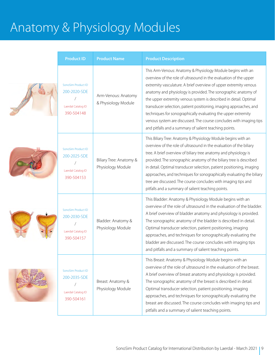| <b>Product ID</b>                                                      | <b>Product Name</b>                          | <b>Product Description</b>                                                                                                                                                                                                                                                                                                                                                                                                                                                                                                                                                                                           |
|------------------------------------------------------------------------|----------------------------------------------|----------------------------------------------------------------------------------------------------------------------------------------------------------------------------------------------------------------------------------------------------------------------------------------------------------------------------------------------------------------------------------------------------------------------------------------------------------------------------------------------------------------------------------------------------------------------------------------------------------------------|
| SonoSim Product ID<br>200-2020-SDE<br>Laerdal Catalog ID<br>390-504148 | Arm-Venous: Anatomy<br>& Physiology Module   | This Arm-Venous: Anatomy & Physiology Module begins with an<br>overview of the role of ultrasound in the evaluation of the upper<br>extremity vasculature. A brief overview of upper extremity venous<br>anatomy and physiology is provided. The sonographic anatomy of<br>the upper extremity venous system is described in detail. Optimal<br>transducer selection, patient positioning, imaging approaches, and<br>techniques for sonographically evaluating the upper extremity<br>venous system are discussed. The course concludes with imaging tips<br>and pitfalls and a summary of salient teaching points. |
| SonoSim Product ID<br>200-2025-SDE<br>Laerdal Catalog ID<br>390-504153 | Biliary Tree: Anatomy &<br>Physiology Module | This Biliary Tree: Anatomy & Physiology Module begins with an<br>overview of the role of ultrasound in the evaluation of the biliary<br>tree. A brief overview of biliary tree anatomy and physiology is<br>provided. The sonographic anatomy of the biliary tree is described<br>in detail. Optimal transducer selection, patient positioning, imaging<br>approaches, and techniques for sonographically evaluating the biliary<br>tree are discussed. The course concludes with imaging tips and<br>pitfalls and a summary of salient teaching points.                                                             |
| SonoSim Product ID<br>200-2030-SDE<br>Laerdal Catalog ID<br>390-504157 | Bladder: Anatomy &<br>Physiology Module      | This Bladder: Anatomy & Physiology Module begins with an<br>overview of the role of ultrasound in the evaluation of the bladder.<br>A brief overview of bladder anatomy and physiology is provided.<br>The sonographic anatomy of the bladder is described in detail.<br>Optimal transducer selection, patient positioning, imaging<br>approaches, and techniques for sonographically evaluating the<br>bladder are discussed. The course concludes with imaging tips<br>and pitfalls and a summary of salient teaching points.                                                                                      |
| SonoSim Product ID<br>200-2035-SDE<br>Laerdal Catalog ID<br>390-504161 | Breast: Anatomy &<br>Physiology Module       | This Breast: Anatomy & Physiology Module begins with an<br>overview of the role of ultrasound in the evaluation of the breast.<br>A brief overview of breast anatomy and physiology is provided.<br>The sonographic anatomy of the breast is described in detail.<br>Optimal transducer selection, patient positioning, imaging<br>approaches, and techniques for sonographically evaluating the<br>breast are discussed. The course concludes with imaging tips and<br>pitfalls and a summary of salient teaching points.                                                                                           |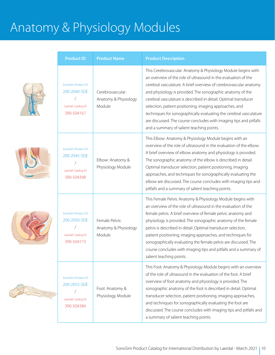| <b>Product ID</b>                                                      | <b>Product Name</b>                                | <b>Product Description</b>                                                                                                                                                                                                                                                                                                                                                                                                                                                                                                                                                                |
|------------------------------------------------------------------------|----------------------------------------------------|-------------------------------------------------------------------------------------------------------------------------------------------------------------------------------------------------------------------------------------------------------------------------------------------------------------------------------------------------------------------------------------------------------------------------------------------------------------------------------------------------------------------------------------------------------------------------------------------|
| SonoSim Product ID<br>200-2040-SDE<br>Laerdal Catalog ID<br>390-504167 | Cerebrovascular:<br>Anatomy & Physiology<br>Module | This Cerebrovascular: Anatomy & Physiology Module begins with<br>an overview of the role of ultrasound in the evaluation of the<br>cerebral vasculature. A brief overview of cerebrovascular anatomy<br>and physiology is provided. The sonographic anatomy of the<br>cerebral vasculature is described in detail. Optimal transducer<br>selection, patient positioning, imaging approaches, and<br>techniques for sonographically evaluating the cerebral vasculature<br>are discussed. The course concludes with imaging tips and pitfalls<br>and a summary of salient teaching points. |
| SonoSim Product ID<br>200-2045-SDE<br>Laerdal Catalog ID<br>390-504398 | Elbow: Anatomy &<br>Physiology Module              | This Elbow: Anatomy & Physiology Module begins with an<br>overview of the role of ultrasound in the evaluation of the elbow.<br>A brief overview of elbow anatomy and physiology is provided.<br>The sonographic anatomy of the elbow is described in detail.<br>Optimal transducer selection, patient positioning, imaging<br>approaches, and techniques for sonographically evaluating the<br>elbow are discussed. The course concludes with imaging tips and<br>pitfalls and a summary of salient teaching points.                                                                     |
| SonoSim Product ID<br>200-2050-SDE<br>Laerdal Catalog ID<br>390-504173 | Female Pelvis:<br>Anatomy & Physiology<br>Module   | This Female Pelvis: Anatomy & Physiology Module begins with<br>an overview of the role of ultrasound in the evaluation of the<br>female pelvis. A brief overview of female pelvic anatomy and<br>physiology is provided. The sonographic anatomy of the female<br>pelvis is described in detail. Optimal transducer selection,<br>patient positioning, imaging approaches, and techniques for<br>sonographically evaluating the female pelvis are discussed. The<br>course concludes with imaging tips and pitfalls and a summary of<br>salient teaching points.                          |
| SonoSim Product ID<br>200-2055-SDE<br>Laerdal Catalog ID<br>390-504384 | Foot: Anatomy &<br>Physiology Module               | This Foot: Anatomy & Physiology Module begins with an overview<br>of the role of ultrasound in the evaluation of the foot. A brief<br>overview of foot anatomy and physiology is provided. The<br>sonographic anatomy of the foot is described in detail. Optimal<br>transducer selection, patient positioning, imaging approaches,<br>and techniques for sonographically evaluating the foot are<br>discussed. The course concludes with imaging tips and pitfalls and<br>a summary of salient teaching points.                                                                          |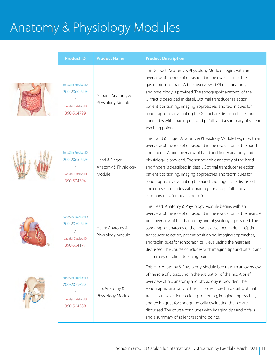





| <b>Product ID</b>                                                                                                  | <b>Product Name</b>                              | <b>Product Description</b>                                                                                                                                                                                                                                                                                                                                                                                                                                                                                                                                                  |  |
|--------------------------------------------------------------------------------------------------------------------|--------------------------------------------------|-----------------------------------------------------------------------------------------------------------------------------------------------------------------------------------------------------------------------------------------------------------------------------------------------------------------------------------------------------------------------------------------------------------------------------------------------------------------------------------------------------------------------------------------------------------------------------|--|
| SonoSim Product ID<br>200-2060-SDE<br>GI Tract: Anatomy &<br>Physiology Module<br>Laerdal Catalog ID<br>390-504799 |                                                  | This GI Tract: Anatomy & Physiology Module begins with an<br>overview of the role of ultrasound in the evaluation of the<br>gastrointestinal tract. A brief overview of GI tract anatomy<br>and physiology is provided. The sonographic anatomy of the<br>GI tract is described in detail. Optimal transducer selection,<br>patient positioning, imaging approaches, and techniques for<br>sonographically evaluating the GI tract are discussed. The course<br>concludes with imaging tips and pitfalls and a summary of salient<br>teaching points.                       |  |
| SonoSim Product ID<br>200-2065-SDE<br>Laerdal Catalog ID<br>390-504394                                             | Hand & Finger:<br>Anatomy & Physiology<br>Module | This Hand & Finger: Anatomy & Physiology Module begins with an<br>overview of the role of ultrasound in the evaluation of the hand<br>and fingers. A brief overview of hand and finger anatomy and<br>physiology is provided. The sonographic anatomy of the hand<br>and fingers is described in detail. Optimal transducer selection,<br>patient positioning, imaging approaches, and techniques for<br>sonographically evaluating the hand and fingers are discussed.<br>The course concludes with imaging tips and pitfalls and a<br>summary of salient teaching points. |  |
| SonoSim Product ID<br>200-2070-SDE<br>Laerdal Catalog ID<br>390-504177                                             | Heart: Anatomy &<br>Physiology Module            | This Heart: Anatomy & Physiology Module begins with an<br>overview of the role of ultrasound in the evaluation of the heart. A<br>brief overview of heart anatomy and physiology is provided. The<br>sonographic anatomy of the heart is described in detail. Optimal<br>transducer selection, patient positioning, imaging approaches,<br>and techniques for sonographically evaluating the heart are<br>discussed. The course concludes with imaging tips and pitfalls and<br>a summary of salient teaching points.                                                       |  |
| SonoSim Product ID<br>200-2075-SDE<br>Laerdal Catalog ID<br>390-504388                                             | Hip: Anatomy &<br>Physiology Module              | This Hip: Anatomy & Physiology Module begins with an overview<br>of the role of ultrasound in the evaluation of the hip. A brief<br>overview of hip anatomy and physiology is provided. The<br>sonographic anatomy of the hip is described in detail. Optimal<br>transducer selection, patient positioning, imaging approaches,<br>and techniques for sonographically evaluating the hip are<br>discussed. The course concludes with imaging tips and pitfalls<br>and a summary of salient teaching points.                                                                 |  |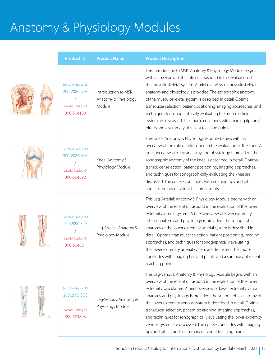| <b>Product ID</b>                                                      | <b>Product Name</b>                                    | <b>Product Description</b>                                                                                                                                                                                                                                                                                                                                                                                                                                                                                                                                                                                                          |
|------------------------------------------------------------------------|--------------------------------------------------------|-------------------------------------------------------------------------------------------------------------------------------------------------------------------------------------------------------------------------------------------------------------------------------------------------------------------------------------------------------------------------------------------------------------------------------------------------------------------------------------------------------------------------------------------------------------------------------------------------------------------------------------|
| SonoSim Product ID<br>200-2080-SDE<br>Laerdal Catalog ID<br>390-504180 | Introduction to MSK:<br>Anatomy & Physiology<br>Module | This Introduction to MSK: Anatomy & Physiology Module begins<br>with an overview of the role of ultrasound in the evaluation of<br>the musculoskeletal system. A brief overview of musculoskeletal<br>anatomy and physiology is provided. The sonographic anatomy<br>of the musculoskeletal system is described in detail. Optimal<br>transducer selection, patient positioning, imaging approaches, and<br>techniques for sonographically evaluating the musculoskeletal<br>system are discussed. The course concludes with imaging tips and<br>pitfalls and a summary of salient teaching points.                                 |
| SonoSim Product ID<br>200-2085-SDE<br>Laerdal Catalog ID<br>390-504392 | Knee: Anatomy &<br>Physiology Module                   | This Knee: Anatomy & Physiology Module begins with an<br>overview of the role of ultrasound in the evaluation of the knee. A<br>brief overview of knee anatomy and physiology is provided. The<br>sonographic anatomy of the knee is described in detail. Optimal<br>transducer selection, patient positioning, imaging approaches,<br>and techniques for sonographically evaluating the knee are<br>discussed. The course concludes with imaging tips and pitfalls<br>and a summary of salient teaching points.                                                                                                                    |
| SonoSim Product ID<br>200-2090-SDE<br>Laerdal Catalog ID<br>390-504801 | Leg-Arterial: Anatomy &<br>Physiology Module           | This Leg-Arterial: Anatomy & Physiology Module begins with an<br>overview of the role of ultrasound in the evaluation of the lower<br>extremity arterial system. A brief overview of lower extremity<br>arterial anatomy and physiology is provided. The sonographic<br>anatomy of the lower extremity arterial system is described in<br>detail. Optimal transducer selection, patient positioning, imaging<br>approaches, and techniques for sonographically evaluating<br>the lower extremity arterial system are discussed. The course<br>concludes with imaging tips and pitfalls and a summary of salient<br>teaching points. |
| SonoSim Product ID<br>200-2095-SDE<br>Laerdal Catalog ID<br>390-504803 | Leg-Venous: Anatomy &<br>Physiology Module             | This Leg-Venous: Anatomy & Physiology Module begins with an<br>overview of the role of ultrasound in the evaluation of the lower<br>extremity vasculature. A brief overview of lower extremity venous<br>anatomy and physiology is provided. The sonographic anatomy of<br>the lower extremity venous system is described in detail. Optimal<br>transducer selection, patient positioning, imaging approaches,<br>and techniques for sonographically evaluating the lower extremity<br>venous system are discussed. The course concludes with imaging<br>tips and pitfalls and a summary of salient teaching points.                |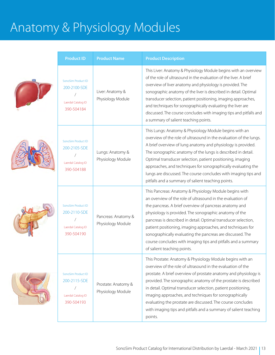| <b>Product ID</b>                                                      | <b>Product Name</b>                      | <b>Product Description</b>                                                                                                                                                                                                                                                                                                                                                                                                                                                                                                              |
|------------------------------------------------------------------------|------------------------------------------|-----------------------------------------------------------------------------------------------------------------------------------------------------------------------------------------------------------------------------------------------------------------------------------------------------------------------------------------------------------------------------------------------------------------------------------------------------------------------------------------------------------------------------------------|
| SonoSim Product ID<br>200-2100-SDE<br>Laerdal Catalog ID<br>390-504184 | Liver: Anatomy &<br>Physiology Module    | This Liver: Anatomy & Physiology Module begins with an overview<br>of the role of ultrasound in the evaluation of the liver. A brief<br>overview of liver anatomy and physiology is provided. The<br>sonographic anatomy of the liver is described in detail. Optimal<br>transducer selection, patient positioning, imaging approaches,<br>and techniques for sonographically evaluating the liver are<br>discussed. The course concludes with imaging tips and pitfalls and<br>a summary of salient teaching points.                   |
| SonoSim Product ID<br>200-2105-SDE<br>Laerdal Catalog ID<br>390-504188 | Lungs: Anatomy &<br>Physiology Module    | This Lungs: Anatomy & Physiology Module begins with an<br>overview of the role of ultrasound in the evaluation of the lungs.<br>A brief overview of lung anatomy and physiology is provided.<br>The sonographic anatomy of the lungs is described in detail.<br>Optimal transducer selection, patient positioning, imaging<br>approaches, and techniques for sonographically evaluating the<br>lungs are discussed. The course concludes with imaging tips and<br>pitfalls and a summary of salient teaching points.                    |
| SonoSim Product ID<br>200-2110-SDE<br>Laerdal Catalog ID<br>390-504190 | Pancreas: Anatomy &<br>Physiology Module | This Pancreas: Anatomy & Physiology Module begins with<br>an overview of the role of ultrasound in the evaluation of<br>the pancreas. A brief overview of pancreas anatomy and<br>physiology is provided. The sonographic anatomy of the<br>pancreas is described in detail. Optimal transducer selection,<br>patient positioning, imaging approaches, and techniques for<br>sonographically evaluating the pancreas are discussed. The<br>course concludes with imaging tips and pitfalls and a summary<br>of salient teaching points. |
| SonoSim Product ID<br>200-2115-SDE<br>Laerdal Catalog ID<br>390-504193 | Prostate: Anatomy &<br>Physiology Module | This Prostate: Anatomy & Physiology Module begins with an<br>overview of the role of ultrasound in the evaluation of the<br>prostate. A brief overview of prostate anatomy and physiology is<br>provided. The sonographic anatomy of the prostate is described<br>in detail. Optimal transducer selection, patient positioning,<br>imaging approaches, and techniques for sonographically<br>evaluating the prostate are discussed. The course concludes<br>with imaging tips and pitfalls and a summary of salient teaching<br>points. |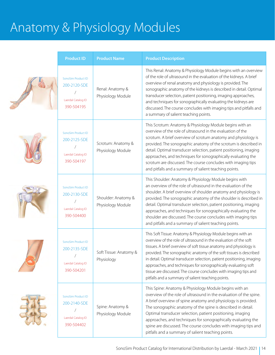| <b>Product ID</b>                                                      | <b>Product Name</b>                      | <b>Product Description</b>                                                                                                                                                                                                                                                                                                                                                                                                                                                                                                                        |
|------------------------------------------------------------------------|------------------------------------------|---------------------------------------------------------------------------------------------------------------------------------------------------------------------------------------------------------------------------------------------------------------------------------------------------------------------------------------------------------------------------------------------------------------------------------------------------------------------------------------------------------------------------------------------------|
| SonoSim Product ID<br>200-2120-SDE<br>Laerdal Catalog ID<br>390-504195 | Renal: Anatomy &<br>Physiology Module    | This Renal: Anatomy & Physiology Module begins with an overview<br>of the role of ultrasound in the evaluation of the kidneys. A brief<br>overview of renal anatomy and physiology is provided. The<br>sonographic anatomy of the kidneys is described in detail. Optimal<br>transducer selection, patient positioning, imaging approaches,<br>and techniques for sonographically evaluating the kidneys are<br>discussed. The course concludes with imaging tips and pitfalls and<br>a summary of salient teaching points.                       |
| SonoSim Product ID<br>200-2125-SDE<br>Laerdal Catalog ID<br>390-504197 | Scrotum: Anatomy &<br>Physiology Module  | This Scrotum: Anatomy & Physiology Module begins with an<br>overview of the role of ultrasound in the evaluation of the<br>scrotum. A brief overview of scrotum anatomy and physiology is<br>provided. The sonographic anatomy of the scrotum is described in<br>detail. Optimal transducer selection, patient positioning, imaging<br>approaches, and techniques for sonographically evaluating the<br>scrotum are discussed. The course concludes with imaging tips<br>and pitfalls and a summary of salient teaching points.                   |
| SonoSim Product ID<br>200-2130-SDE<br>Laerdal Catalog ID<br>390-504400 | Shoulder: Anatomy &<br>Physiology Module | This Shoulder: Anatomy & Physiology Module begins with<br>an overview of the role of ultrasound in the evaluation of the<br>shoulder. A brief overview of shoulder anatomy and physiology is<br>provided. The sonographic anatomy of the shoulder is described in<br>detail. Optimal transducer selection, patient positioning, imaging<br>approaches, and techniques for sonographically evaluating the<br>shoulder are discussed. The course concludes with imaging tips<br>and pitfalls and a summary of salient teaching points.              |
| SonoSim Product ID<br>200-2135-SDE<br>Laerdal Catalog ID<br>390-504201 | Soft Tissue: Anatomy &<br>Physiology     | This Soft Tissue: Anatomy & Physiology Module begins with an<br>overview of the role of ultrasound in the evaluation of the soft<br>tissues. A brief overview of soft tissue anatomy and physiology is<br>provided. The sonographic anatomy of the soft tissues is described<br>in detail. Optimal transducer selection, patient positioning, imaging<br>approaches, and techniques for sonographically evaluating soft<br>tissue are discussed. The course concludes with imaging tips and<br>pitfalls and a summary of salient teaching points. |
| SonoSim Product ID<br>200-2140-SDE<br>Laerdal Catalog ID<br>390-504402 | Spine: Anatomy &<br>Physiology Module    | This Spine: Anatomy & Physiology Module begins with an<br>overview of the role of ultrasound in the evaluation of the spine.<br>A brief overview of spine anatomy and physiology is provided.<br>The sonographic anatomy of the spine is described in detail.<br>Optimal transducer selection, patient positioning, imaging<br>approaches, and techniques for sonographically evaluating the<br>spine are discussed. The course concludes with imaging tips and<br>pitfalls and a summary of salient teaching points.                             |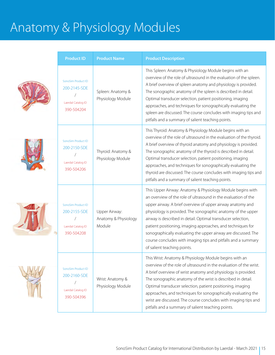| <b>Product ID</b>                                                      | <b>Product Name</b>                             | <b>Product Description</b>                                                                                                                                                                                                                                                                                                                                                                                                                                                                                                                                  |
|------------------------------------------------------------------------|-------------------------------------------------|-------------------------------------------------------------------------------------------------------------------------------------------------------------------------------------------------------------------------------------------------------------------------------------------------------------------------------------------------------------------------------------------------------------------------------------------------------------------------------------------------------------------------------------------------------------|
| SonoSim Product ID<br>200-2145-SDE<br>Laerdal Catalog ID<br>390-504204 | Spleen: Anatomy &<br>Physiology Module          | This Spleen: Anatomy & Physiology Module begins with an<br>overview of the role of ultrasound in the evaluation of the spleen.<br>A brief overview of spleen anatomy and physiology is provided.<br>The sonographic anatomy of the spleen is described in detail.<br>Optimal transducer selection, patient positioning, imaging<br>approaches, and techniques for sonographically evaluating the<br>spleen are discussed. The course concludes with imaging tips and<br>pitfalls and a summary of salient teaching points.                                  |
| SonoSim Product ID<br>200-2150-SDE<br>Laerdal Catalog ID<br>390-504206 | Thyroid: Anatomy &<br>Physiology Module         | This Thyroid: Anatomy & Physiology Module begins with an<br>overview of the role of ultrasound in the evaluation of the thyroid.<br>A brief overview of thyroid anatomy and physiology is provided.<br>The sonographic anatomy of the thyroid is described in detail.<br>Optimal transducer selection, patient positioning, imaging<br>approaches, and techniques for sonographically evaluating the<br>thyroid are discussed. The course concludes with imaging tips and<br>pitfalls and a summary of salient teaching points.                             |
| SonoSim Product ID<br>200-2155-SDE<br>Laerdal Catalog ID<br>390-504208 | Upper Airway:<br>Anatomy & Physiology<br>Module | This Upper Airway: Anatomy & Physiology Module begins with<br>an overview of the role of ultrasound in the evaluation of the<br>upper airway. A brief overview of upper airway anatomy and<br>physiology is provided. The sonographic anatomy of the upper<br>airway is described in detail. Optimal transducer selection,<br>patient positioning, imaging approaches, and techniques for<br>sonographically evaluating the upper airway are discussed. The<br>course concludes with imaging tips and pitfalls and a summary<br>of salient teaching points. |
| SonoSim Product ID<br>200-2160-SDE<br>Laerdal Catalog ID<br>390-504396 | Wrist: Anatomy &<br>Physiology Module           | This Wrist: Anatomy & Physiology Module begins with an<br>overview of the role of ultrasound in the evaluation of the wrist.<br>A brief overview of wrist anatomy and physiology is provided.<br>The sonographic anatomy of the wrist is described in detail.<br>Optimal transducer selection, patient positioning, imaging<br>approaches, and techniques for sonographically evaluating the<br>wrist are discussed. The course concludes with imaging tips and<br>pitfalls and a summary of salient teaching points.                                       |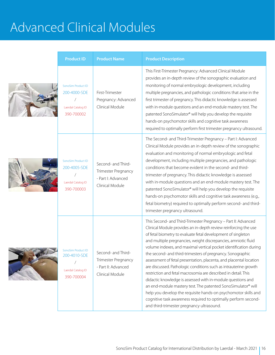| <b>Product ID</b>                                                             | <b>Product Name</b>                                                                | <b>Product Description</b>                                                                                                                                                                                                                                                                                                                                                                                                                                                                                                                                                                                                                                                                                                                                                                                                                                                                                                         |
|-------------------------------------------------------------------------------|------------------------------------------------------------------------------------|------------------------------------------------------------------------------------------------------------------------------------------------------------------------------------------------------------------------------------------------------------------------------------------------------------------------------------------------------------------------------------------------------------------------------------------------------------------------------------------------------------------------------------------------------------------------------------------------------------------------------------------------------------------------------------------------------------------------------------------------------------------------------------------------------------------------------------------------------------------------------------------------------------------------------------|
| SonoSim Product ID<br>200-4000-SDE<br>Laerdal Catalog ID<br>390-700002        | First-Trimester<br>Pregnancy: Advanced<br>Clinical Module                          | This First-Trimester Pregnancy: Advanced Clinical Module<br>provides an in-depth review of the sonographic evaluation and<br>monitoring of normal embryologic development, including<br>multiple pregnancies, and pathologic conditions that arise in the<br>first trimester of pregnancy. This didactic knowledge is assessed<br>with in-module questions and an end-module mastery test. The<br>patented SonoSimulator® will help you develop the requisite<br>hands-on psychomotor skills and cognitive task awareness<br>required to optimally perform first trimester pregnancy ultrasound.                                                                                                                                                                                                                                                                                                                                   |
| SonoSim Product ID<br>200-4005-SDE<br>Laerdal Catalog ID<br>390-700003        | Second- and Third-<br>Trimester Pregnancy<br>- Part I: Advanced<br>Clinical Module | The Second- and Third-Trimester Pregnancy - Part I: Advanced<br>Clinical Module provides an in-depth review of the sonographic<br>evaluation and monitoring of normal embryologic and fetal<br>development, including multiple pregnancies, and pathologic<br>conditions that become evident in the second- and third-<br>trimester of pregnancy. This didactic knowledge is assessed<br>with in-module questions and an end-module mastery test. The<br>patented SonoSimulator® will help you develop the requisite<br>hands-on psychomotor skills and cognitive task awareness (e.g.,<br>fetal biometry) required to optimally perform second- and third-<br>trimester pregnancy ultrasound.                                                                                                                                                                                                                                     |
| <b>SonoSim Product ID</b><br>200-4010-SDE<br>Laerdal Catalog ID<br>390-700004 | Second- and Third<br>Trimester Pregnancy<br>- Part II: Advanced<br>Clinical Module | This Second- and Third-Trimester Pregnancy - Part II: Advanced<br>Clinical Module provides an in-depth review reinforcing the use<br>of fetal biometry to evaluate fetal development of singleton<br>and multiple pregnancies, weight discrepancies, amniotic fluid<br>volume indexes, and maximal vertical pocket identification during<br>the second- and third-trimesters of pregnancy. Sonographic<br>assessment of fetal presentation, placenta, and placental location<br>are discussed. Pathologic conditions such as intrauterine growth<br>restriction and fetal macrosomia are described in detail. This<br>didactic knowledge is assessed with in-module questions and<br>an end-module mastery test. The patented SonoSimulator® will<br>help you develop the requisite hands-on psychomotor skills and<br>cognitive task awareness required to optimally perform second-<br>and third-trimester pregnancy ultrasound. |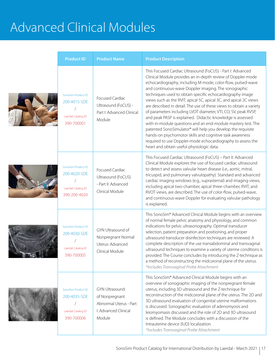| <b>Product ID</b>                                                        | <b>Product Name</b>                                                                                 | <b>Product Description</b>                                                                                                                                                                                                                                                                                                                                                                                                                                                                                                                                                                                                                                                                                                                                                                                                                                                                       |
|--------------------------------------------------------------------------|-----------------------------------------------------------------------------------------------------|--------------------------------------------------------------------------------------------------------------------------------------------------------------------------------------------------------------------------------------------------------------------------------------------------------------------------------------------------------------------------------------------------------------------------------------------------------------------------------------------------------------------------------------------------------------------------------------------------------------------------------------------------------------------------------------------------------------------------------------------------------------------------------------------------------------------------------------------------------------------------------------------------|
| SonoSim Product ID<br>200-4015-SDE<br>Laerdal Catalog ID<br>390-700001   | Focused Cardiac<br>Ultrasound (FoCUS) -<br>Part I: Advanced Clinical<br>Module                      | This Focused Cardiac Ultrasound (FoCUS) - Part I: Advanced<br>Clinical Module provides an in-depth review of Doppler-mode<br>echocardiography, including M-mode, color-flow, pulsed-wave<br>and continuous-wave Doppler imaging. The sonographic<br>techniques used to obtain specific echocardiography image<br>views such as the RVIT, apical 5C, apical 3C, and apical 2C views<br>are described in detail. The use of these views to obtain a variety<br>of parameters including LVOT diameter, VTI, CO, SV, peak RVSP,<br>and peak PASP is explained. Didactic knowledge is assessed<br>with in-module questions and an end-module mastery test. The<br>patented SonoSimulator® will help you develop the requisite<br>hands-on psychomotor skills and cognitive task awareness<br>required to use Doppler-mode echocardiography to assess the<br>heart and obtain useful physiologic data. |
| SonoSim Product ID<br>200-4020-SDE<br>Laerdal Catalog ID<br>390-200-4020 | Focused Cardiac<br>Ultrasound (FoCUS)<br>- Part II: Advanced<br>Clinical Module                     | This Focused Cardiac Ultrasound (FoCUS) - Part II: Advanced<br>Clinical Module explores the use of focused cardiac ultrasound<br>to detect and assess valvular heart disease (i.e., aortic, mitral,<br>tricuspid, and pulmonary valvulopathy). Standard and advanced<br>cardiac imaging windows (e.g., suprasternal) and imaging views,<br>including apical two-chamber, apical three-chamber, RVIT, and<br>RVOT views, are described. The use of color-flow, pulsed-wave,<br>and continuous-wave Doppler for evaluating valvular pathology<br>is explained.                                                                                                                                                                                                                                                                                                                                     |
| SonoSim Product ID<br>200-4030-SDE<br>Laerdal Catalog ID<br>390-700005   | GYN Ultrasound of<br>Nonpregnant Normal<br>Uterus: Advanced<br>Clinical Module                      | This SonoSim® Advanced Clinical Module begins with an overview<br>of normal female pelvic anatomy and physiology, and common<br>indications for pelvic ultrasonography. Optimal transducer<br>selection, patient preparation and positioning, and proper<br>ultrasound transducer disinfection techniques are reviewed. A<br>complete description of the use transabdominal and transvaginal<br>ultrasound techniques to examine a variety of uterine conditions is<br>provided. The Course concludes by introducing the Z-technique as<br>a method of reconstructing the midcoronal plane of the uterus.<br>*Includes Transvaginal Probe Attachment                                                                                                                                                                                                                                             |
| SonoSim Product ID<br>200-4035-SDE<br>Laerdal Catalog ID<br>390-700006   | <b>GYN Ultrasound</b><br>of Nonpregnant<br>Abnormal Uterus - Part<br>I: Advanced Clinical<br>Module | This SonoSim® Advanced Clinical Module begins with an<br>overview of sonographic imaging of the nonpregnant female<br>uterus, including 3D ultrasound and the Z-technique for<br>reconstruction of the midcoronal plane of the uterus. The 2D and<br>3D ultrasound evaluation of congenital uterine malformations<br>is discussed. Sonographic evaluation of adenomyosis and<br>leiomyomasis discussed and the role of 2D and 3D ultrasound<br>is defined. The Module concludes with a discussion of the<br>Intrauterine device (IUD) localization.<br>*Includes Transvaginal Probe Attachment                                                                                                                                                                                                                                                                                                   |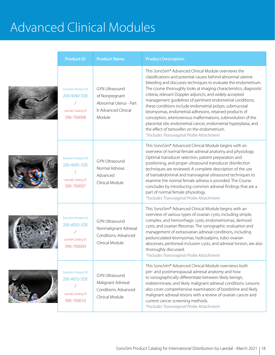| <b>Product ID</b>                                                      | <b>Product Name</b>                                                                                  | <b>Product Description</b>                                                                                                                                                                                                                                                                                                                                                                                                                                                                                                                                                                                                                                                                                                                  |
|------------------------------------------------------------------------|------------------------------------------------------------------------------------------------------|---------------------------------------------------------------------------------------------------------------------------------------------------------------------------------------------------------------------------------------------------------------------------------------------------------------------------------------------------------------------------------------------------------------------------------------------------------------------------------------------------------------------------------------------------------------------------------------------------------------------------------------------------------------------------------------------------------------------------------------------|
| SonoSim Product ID<br>200-4040-SDE<br>Laerdal Catalog ID<br>390-700008 | <b>GYN Ultrasound</b><br>of Nonpregnant<br>Abnormal Uterus - Part<br>II: Advanced Clinical<br>Module | This SonoSim® Advanced Clinical Module overviews the<br>classifications and potential causes behind abnormal uterine<br>bleeding and discusses techniques to evaluate the endometrium.<br>The course thoroughly looks at imaging characteristics, diagnostic<br>criteria, relevant Doppler adjuncts, and widely accepted<br>management guidelines of pertinent endometrial conditions;<br>these conditions include endometrial polyps, submucosal<br>leiomyomas, endometrial adhesions, retained products of<br>conception, arteriovenous malformations, subinvolution of the<br>placental site, endometrial cancer, endometrial hyperplasia, and<br>the effect of tamoxifen on the endometrium.<br>*Includes Transvaginal Probe Attachment |
| SonoSim Product ID<br>200-4045-SDE<br>Laerdal Catalog ID<br>390-700007 | <b>GYN Ultrasound</b><br>Normal Adnexa:<br>Advanced<br>Clinical Module                               | This SonoSim® Advanced Clinical Module begins with an<br>overview of normal female adnexal anatomy and physiology.<br>Optimal transducer selection, patient preparation and<br>positioning, and proper ultrasound transducer disinfection<br>techniques are reviewed. A complete description of the use<br>of transabdominal and transvaginal ultrasound techniques to<br>examine the normal female adnexa is provided. The Course<br>concludes by introducing common adnexal findings that are a<br>part of normal female physiology.<br>*Includes Transvaginal Probe Attachment                                                                                                                                                           |
| SonoSim Product ID<br>200-4050-SDE<br>Laerdal Catalog ID<br>390-700009 | <b>GYN Ultrasound</b><br>Nonmalignant Adnexal<br>Conditions: Advanced<br>Clinical Module             | This SonoSim® Advanced Clinical Module begins with an<br>overview of various types of ovarian cysts, including simple,<br>complex, and hemorrhagic cysts; endometriomas; dermoid<br>cysts; and ovarian fibromas. The sonographic evaluation and<br>management of extraovarian adnexal conditions, including<br>pedunculated leiomyomas, hydrosalpinx, tubo-ovarian<br>abscesses, peritoneal inclusion cysts, and adnexal torsion, are also<br>thoroughly discussed.<br>*Includes Transvaginal Probe Attachment                                                                                                                                                                                                                              |
| SonoSim Product ID<br>200-4055-SDE<br>Laerdal Catalog ID<br>390-700010 | <b>GYN Ultrasound</b><br>Malignant Adnexal<br>Conditions: Advanced<br>Clinical Module                | This SonoSim <sup>®</sup> Advanced Clinical Module overviews both<br>pre- and postmenopausal adnexal anatomy and how<br>to sonographically differentiate between likely benign,<br>indeterminate, and likely malignant adnexal conditions. Lessons<br>also cover comprehensive examination of borderline and likely<br>malignant adnexal lesions with a review of ovarian cancer and<br>current cancer screening methods.<br>*Includes Transvaginal Probe Attachment                                                                                                                                                                                                                                                                        |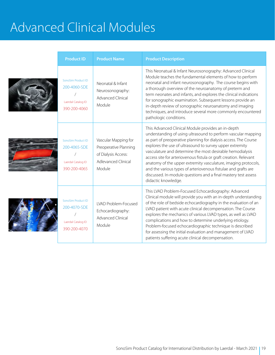| <b>Product ID</b>                                                        | <b>Product Name</b>                                                                                          | <b>Product Description</b>                                                                                                                                                                                                                                                                                                                                                                                                                                                                                                                                                                                         |
|--------------------------------------------------------------------------|--------------------------------------------------------------------------------------------------------------|--------------------------------------------------------------------------------------------------------------------------------------------------------------------------------------------------------------------------------------------------------------------------------------------------------------------------------------------------------------------------------------------------------------------------------------------------------------------------------------------------------------------------------------------------------------------------------------------------------------------|
| SonoSim Product ID<br>200-4060-SDE<br>Laerdal Catalog ID<br>390-200-4060 | Neonatal & Infant<br>Neurosonography:<br><b>Advanced Clinical</b><br>Module                                  | This Neonatual & Infant Neurosonography: Advanced Clinical<br>Module teaches the fundamental elements of how to perform<br>neonatal and infant neurosonography. The course begins with<br>a thorough overview of the neuroanatomy of preterm and<br>term neonates and infants, and explores the clinical indications<br>for sonographic examination. Subsequent lessons provide an<br>in-depth review of sonographic neuroanatomy and imaging<br>techniques, and introduce several more commonly encountered<br>pathologic conditions.                                                                             |
| SonoSim Product ID<br>200-4065-SDE<br>Laerdal Catalog ID<br>390-200-4065 | Vascular Mapping for<br>Preoperative Planning<br>of Dialysis Access:<br><b>Adlevanced Clinical</b><br>Module | This Advanced Clinical Module provides an in-depth<br>understanding of using ultrasound to perform vascular mapping<br>as part of preoperative planning for dialysis access. The Course<br>explores the use of ultrasound to survey upper extremity<br>vasculature and determine the most desirable hemodialysis<br>access site for arteriovenous fistula or graft creation. Relevant<br>anatomy of the upper extremity vasculature, imaging protocols,<br>and the various types of arteriovenous fistulae and grafts are<br>discussed. In-module questions and a final mastery test assess<br>didactic knowledge. |
| SonoSim Product ID<br>200-4070-SDE<br>Laerdal Catalog ID<br>390-200-4070 | LVAD Problem-Focused<br>Echocardiography:<br><b>Advanced Clinical</b><br>Module                              | This LVAD Problem-Focused Echocardiography: Advanced<br>Clinical module will provide you with an in-depth understanding<br>of the role of bedside echocardiography in the evaluation of an<br>LVAD patient with acute clinical decompensation. The Course<br>explores the mechanics of various LVAD types, as well as LVAD<br>complications and how to determine underlying etiology.<br>Problem-focused echocardiographic technique is described<br>for assessing the initial evaluation and management of LVAD<br>patients suffering acute clinical decompensation.                                              |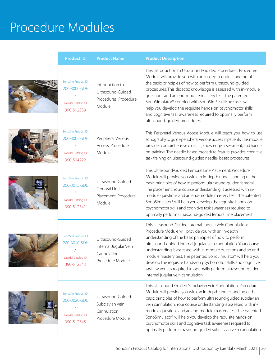#### Procedure Modules

| <b>Product ID</b>                                                      | <b>Product Name</b>                                                            | <b>Product Description</b>                                                                                                                                                                                                                                                                                                                                                                                                                                                                                                                                    |
|------------------------------------------------------------------------|--------------------------------------------------------------------------------|---------------------------------------------------------------------------------------------------------------------------------------------------------------------------------------------------------------------------------------------------------------------------------------------------------------------------------------------------------------------------------------------------------------------------------------------------------------------------------------------------------------------------------------------------------------|
| SonoSim Product ID<br>200-3000-SDE<br>Laerdal Catalog ID<br>390-512339 | Introduction to<br>Ultrasound-Guided<br>Procedures: Procedure<br>Module        | This Introduction to Ultrasound-Guided Procedures: Procedure<br>Module will provide you with an in-depth understanding of<br>the basic principles of how to perform ultrasound-guided<br>procedures. This didactic knowledge is assessed with in-module<br>questions and an end-module mastery test. The patented<br>SonoSimulator® coupled with SonoSim® SkillBox cases will<br>help you develop the requisite hands-on psychomotor skills<br>and cognitive task awareness required to optimally perform<br>ultrasound-guided procedures.                    |
| SonoSim Product ID<br>200-3005-SDE<br>Laerdal Catalog ID<br>390-504222 | Peripheral Venous<br>Access: Procedure<br>Module                               | This Peripheral Venous Access Module will teach you how to use<br>sonography to guide peripheral venous access in patients. This module<br>provides comprehensive didactic, knowledge assessment, and hands-<br>on training. The needle-based procedure feature provides cognitive<br>task training on ultrasound-guided needle- based procedures.                                                                                                                                                                                                            |
| SonoSim Product ID<br>200-3015-SDE<br>Laerdal Catalog ID<br>390-512341 | Ultrasound-Guided<br>Femoral Line<br>Placement: Procedure<br>Module            | This Ultrasound-Guided Femoral Line Placement: Procedure<br>Module will provide you with an in-depth understanding of the<br>basic principles of how to perform ultrasound-guided femoral<br>line placement. Your course understanding is assessed with in-<br>module questions and an end-module mastery test. The patented<br>SonoSimulator® will help you develop the requisite hands-on<br>psychomotor skills and cognitive task awareness required to<br>optimally perform ultrasound-guided femoral line placement.                                     |
| SonoSim Product ID<br>200-3010-SDE<br>Laerdal Catalog ID<br>390-512343 | Ultrasound-Guided<br>Internal Jugular Vein<br>Cannulation:<br>Procedure Module | This Ultrasound-Guided Internal Jugular Vein Cannulation:<br>Procedure Module will provide you with an in-depth<br>understanding of the basic principles of how to perform<br>ultrasound-guided internal jugular vein cannulation. Your course<br>understanding is assessed with in-module questions and an end-<br>module mastery test. The patented SonoSimulator® will help you<br>develop the requisite hands-on psychomotor skills and cognitive<br>task awareness required to optimally perform ultrasound-guided<br>internal jugular vein cannulation. |
| SonoSim Product ID<br>200-3020-SDE<br>Laerdal Catalog ID<br>390-512345 | Ultrasound-Guided<br>Subclavian Vein<br>Cannulation:<br>Procedure Module       | This Ultrasound-Guided Subclavian Vein Cannulation: Procedure<br>Module will provide you with an in-depth understanding of the<br>basic principles of how to perform ultrasound-guided subclavian<br>vein cannulation. Your course understanding is assessed with in-<br>module questions and an end-module mastery test. The patented<br>SonoSimulator® will help you develop the requisite hands-on<br>psychomotor skills and cognitive task awareness required to<br>optimally perform ultrasound-guided subclavian vein cannulation.                      |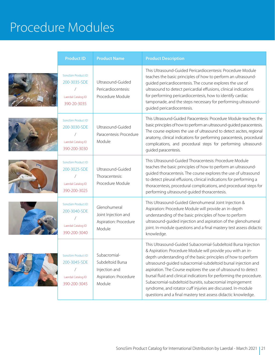#### Procedure Modules

| <b>Product ID</b>                                                        | <b>Product Name</b>                                                                  | <b>Product Description</b>                                                                                                                                                                                                                                                                                                                                                                                                                                                                                                                                                                            |
|--------------------------------------------------------------------------|--------------------------------------------------------------------------------------|-------------------------------------------------------------------------------------------------------------------------------------------------------------------------------------------------------------------------------------------------------------------------------------------------------------------------------------------------------------------------------------------------------------------------------------------------------------------------------------------------------------------------------------------------------------------------------------------------------|
| SonoSim Product ID<br>200-3035-SDE<br>Laerdal Catalog ID<br>390-20-3035  | Ultrasound-Guided<br>Pericardiocentesis:<br>Procedure Module                         | This Ultrasound-Guided Pericardiocentesis: Procedure Module<br>teaches the basic principles of how to perform an ultrasound-<br>guided pericardiocentesis. The course explores the use of<br>ultrasound to detect pericardial effusions, clinical indications<br>for performing pericardiocentesis, how to identify cardiac<br>tamponade, and the steps necessary for performing ultrasound-<br>guided pericardiocentesis.                                                                                                                                                                            |
| SonoSim Product ID<br>200-3030-SDE<br>Laerdal Catalog ID<br>390-200-3030 | Ultrasound-Guided<br>Paracentesis: Procedure<br>Module                               | This Ultrasound-Guided Paracentesis: Procedure Module teaches the<br>basic principles of how to perform an ultrasound-guided paracentesis.<br>The course explores the use of ultrasound to detect ascites, regional<br>anatomy, clinical indications for performing paracentesis, procedural<br>complications, and procedural steps for performing ultrasound-<br>guided paracentesis.                                                                                                                                                                                                                |
| SonoSim Product ID<br>200-3025-SDE<br>Laerdal Catalog ID<br>390-200-3025 | Ultrasound-Guided<br>Thoracentesis:<br>Procedure Module                              | This Ultrasound-Guided Thoracentesis: Procedure Module<br>teaches the basic principles of how to perform an ultrasound-<br>guided thoracentesis. The course explores the use of ultrasound<br>to detect pleural effusions, clinical indications for performing a<br>thoracentesis, procedural complications, and procedural steps for<br>performing ultrasound-guided thoracentesis.                                                                                                                                                                                                                  |
| SonoSim Product ID<br>200-3040-SDE<br>Laerdal Catalog ID<br>390-200-3040 | Glenohumeral<br>Joint Injection and<br>Aspiration: Procedure<br>Module               | This Ultrasound-Guided Glenohumeral Joint Injection &<br>Aspiration: Procedure Module will provide an in-depth<br>understanding of the basic principles of how to perform<br>ultrasound-guided injection and aspiration of the glenohumeral<br>joint. In-module questions and a final mastery test assess didactic<br>knowledge.                                                                                                                                                                                                                                                                      |
| SonoSim Product ID<br>200-3045-SDE<br>Laerdal Catalog ID<br>390-200-3045 | Subacromial-<br>Subdeltoid Bursa<br>Injection and<br>Aspiration: Procedure<br>Module | This Ultrasound-Guided Subacromial-Subdeltoid Bursa Injection<br>& Aspiration: Procedure Module will provide you with an in-<br>depth understanding of the basic principles of how to perform<br>ultrasound-guided subacromial-subdeltoid bursal injection and<br>aspiration. The Course explores the use of ultrasound to detect<br>bursal fluid and clinical indications for performing the procedure.<br>Subacromial-subdeltoid bursitis, subacromial impingement<br>syndrome, and rotator cuff injuries are discussed. In-module<br>questions and a final mastery test assess didactic knowledge. |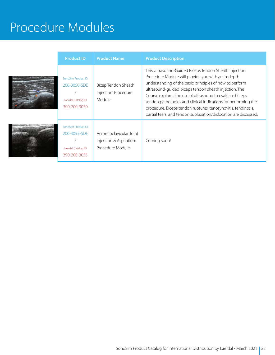### Procedure Modules

| <b>Product ID</b>                                                        | <b>Product Name</b>                                                    | <b>Product Description</b>                                                                                                                                                                                                                                                                                                                                                                                                                                                                          |
|--------------------------------------------------------------------------|------------------------------------------------------------------------|-----------------------------------------------------------------------------------------------------------------------------------------------------------------------------------------------------------------------------------------------------------------------------------------------------------------------------------------------------------------------------------------------------------------------------------------------------------------------------------------------------|
| SonoSim Product ID<br>200-3050-SDE<br>Laerdal Catalog ID<br>390-200-3050 | Bicep Tendon Sheath<br>Injection: Procedure<br>Module                  | This Ultrasound-Guided Biceps Tendon Sheath Injection:<br>Procedure Module will provide you with an in-depth<br>understanding of the basic principles of how to perform<br>ultrasound-quided biceps tendon sheath injection. The<br>Course explores the use of ultrasound to evaluate biceps<br>tendon pathologies and clinical indications for performing the<br>procedure. Biceps tendon ruptures, tenosynovitis, tendinosis,<br>partial tears, and tendon subluxation/dislocation are discussed. |
| SonoSim Product ID<br>200-3055-SDE<br>Laerdal Catalog ID<br>390-200-3055 | Acromioclavicular Joint<br>Injection & Aspiration:<br>Procedure Module | Coming Soon!                                                                                                                                                                                                                                                                                                                                                                                                                                                                                        |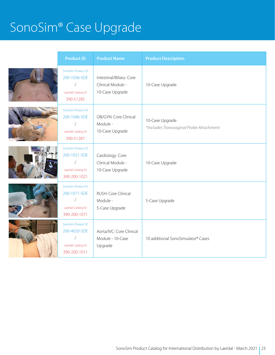# SonoSim® Case Upgrade

| <b>Product ID</b>                                                        | <b>Product Name</b>                                              | <b>Product Description</b>                                 |
|--------------------------------------------------------------------------|------------------------------------------------------------------|------------------------------------------------------------|
| SonoSim Product ID<br>200-1036-SDE<br>Laerdal Catalog ID<br>390-51285    | Intestinal/Biliary: Core<br>Clinical Module -<br>10-Case Upgrade | 10-Case Upgrade                                            |
| SonoSim Product ID<br>200-1046-SDE<br>Laerdal Catalog ID<br>390-51287    | OB/GYN: Core Clinical<br>Module -<br>10-Case Upgrade             | 10-Case Upgrade<br>*Includes Transvaginal Probe Attachment |
| SonoSim Product ID<br>200-1021-SDE<br>Laerdal Catalog ID<br>390-200-1021 | Cardiology: Core<br>Clinical Module -<br>10-Case Upgrade         | 10-Case Upgrade                                            |
| SonoSim Product ID<br>200-1071-SDE<br>Laerdal Catalog ID<br>390-200-1071 | RUSH: Core Clinical<br>Module -<br>5-Case Upgrade                | 5-Case Upgrade                                             |
| SonoSim Product ID<br>200-4020-SDE<br>Laerdal Catalog ID<br>390-200-1011 | Aorta/IVC: Core Clinical<br>Module - 10-Case<br>Upgrade          | 10 additional SonoSimulator® Cases                         |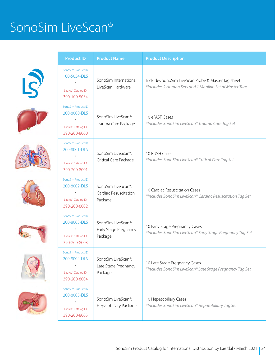### SonoSim LiveScan®















| <b>Product ID</b>                                                                          | <b>Product Name</b>                                                 | <b>Product Description</b>                                                                                    |  |
|--------------------------------------------------------------------------------------------|---------------------------------------------------------------------|---------------------------------------------------------------------------------------------------------------|--|
| SonoSim Product ID<br>100-5034-DLS<br>Laerdal Catalog ID<br>390-100-5034                   | SonoSim International<br>LiveScan Hardware                          | Includes SonoSim LiveScan Probe & Master Tag sheet<br>*Includes 2 Human Sets and 1 Manikin Set of Master Tags |  |
| SonoSim Product ID<br>200-8000-DLS<br>Laerdal Catalog ID<br>390-200-8000                   | SonoSim LiveScan <sup>®</sup> :<br>Trauma Care Package              | 10 eFAST Cases<br>*Includes SonoSim LiveScan® Trauma Care Tag Set                                             |  |
| SonoSim Product ID<br>200-8001-DLS<br>$\overline{ }$<br>Laerdal Catalog ID<br>390-200-8001 | SonoSim LiveScan <sup>®</sup> :<br>Critical Care Package            | 10 RUSH Cases<br>*Includes SonoSim LiveScan® Critical Care Tag Set                                            |  |
| SonoSim Product ID<br>200-8002-DLS<br>Laerdal Catalog ID<br>390-200-8002                   | SonoSim LiveScan®:<br>Cardiac Resuscitation<br>Package              | 10 Cardiac Resuscitation Cases<br>*Includes SonoSim LiveScan® Cardiac Resuscitation Tag Set                   |  |
| SonoSim Product ID<br>200-8003-DLS<br>Laerdal Catalog ID<br>390-200-8003                   | SonoSim LiveScan <sup>®</sup> :<br>Early Stage Pregnancy<br>Package | 10 Early Stage Pregnancy Cases<br>*Includes SonoSim LiveScan® Early Stage Pregnancy Tag Set                   |  |
| SonoSim Product ID<br>200-8004-DLS<br>Laerdal Catalog ID<br>390-200-8004                   | SonoSim LiveScan®:<br>Late Stage Pregnancy<br>Package               | 10 Late Stage Pregnancy Cases<br>*Includes SonoSim LiveScan® Late Stage Pregnancy Tag Set                     |  |
| SonoSim Product ID<br>200-8005-DLS<br>Laerdal Catalog ID<br>390-200-8005                   | SonoSim LiveScan®:<br>Hepatobiliary Package                         | 10 Hepatobiliary Cases<br>*Includes SonoSim LiveScan® Hepatobiliary Tag Set                                   |  |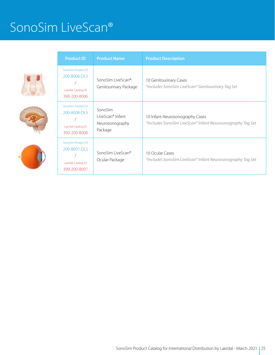#### SonoSim LiveScan®







| <b>Product ID</b><br><b>Product Name</b>                                                                        |                                                           | <b>Product Description</b>                                                                    |  |
|-----------------------------------------------------------------------------------------------------------------|-----------------------------------------------------------|-----------------------------------------------------------------------------------------------|--|
| SonoSim Product ID<br>200-8006-DLS<br>Laerdal Catalog ID<br>390-200-8006                                        | SonoSim LiveScan <sup>®</sup> :<br>Genitourinary Package  | 10 Genitourinary Cases<br>*Includes SonoSim LiveScan® Genitourinary Tag Set                   |  |
| SonoSim Product ID<br>200-8008-DLS<br>Laerdal Catalog ID<br>390-200-8008                                        | SonoSim<br>LiveScan® Infant<br>Neurosonography<br>Package | 10 Infant Neurosonography Cases<br>*Includes SonoSim LiveScan® Infant Neurosonography Tag Set |  |
| SonoSim Product ID<br>200-8007-DLS<br>SonoSim LiveScan®<br>Ocular Package<br>Laerdal Catalog ID<br>390-200-8007 |                                                           | 10 Ocular Cases<br>*Includes SonoSim LiveScan® Infant Neurosonography Tag Set                 |  |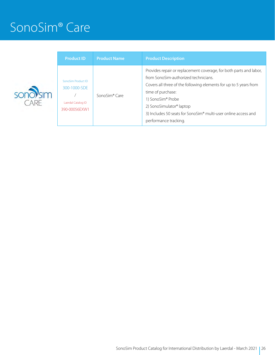#### SonoSim® Care



| <b>Product ID</b>                                                         | <b>Product Name</b> | <b>Product Description</b>                                                                                                                                                                                                                                                                                                                       |
|---------------------------------------------------------------------------|---------------------|--------------------------------------------------------------------------------------------------------------------------------------------------------------------------------------------------------------------------------------------------------------------------------------------------------------------------------------------------|
| SonoSim Product ID<br>300-1000-SDE<br>Laerdal Catalog ID<br>390-00056EXW1 | SonoSim® Care       | Provides repair or replacement coverage, for both parts and labor,<br>from SonoSim-authorized technicians.<br>Covers all three of the following elements for up to 5 years from<br>time of purchase:<br>1) SonoSim® Probe<br>2) SonoSimulator® laptop<br>3) Includes 50 seats for SonoSim® multi-user online access and<br>performance tracking. |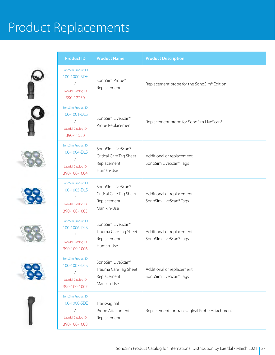











| <b>Product ID</b><br><b>Product Name</b> |                                                                                        |                                                                             | <b>Product Description</b>                          |  |
|------------------------------------------|----------------------------------------------------------------------------------------|-----------------------------------------------------------------------------|-----------------------------------------------------|--|
|                                          | SonoSim Product ID<br>100-1000-SDE<br>$\sqrt{2}$<br>Laerdal Catalog ID<br>390-12250    | SonoSim Probe®<br>Replacement                                               | Replacement probe for the SonoSim® Edition          |  |
|                                          | SonoSim Product ID<br>100-1001-DLS<br>$\sqrt{2}$<br>Laerdal Catalog ID<br>390-11550    | SonoSim LiveScan®<br>Probe Replacement                                      | Replacement probe for SonoSim LiveScan®             |  |
|                                          | SonoSim Product ID<br>100-1004-DLS<br>$\sqrt{2}$<br>Laerdal Catalog ID<br>390-100-1004 | SonoSim LiveScan®<br>Critical Care Tag Sheet<br>Replacement:<br>Human-Use   | Additional or replacement<br>SonoSim LiveScan® Tags |  |
|                                          | SonoSim Product ID<br>100-1005-DLS<br>Τ<br>Laerdal Catalog ID<br>390-100-1005          | SonoSim LiveScan®<br>Critical Care Tag Sheet<br>Replacement:<br>Manikin-Use | Additional or replacement<br>SonoSim LiveScan® Tags |  |
|                                          | SonoSim Product ID<br>100-1006-DLS<br>Laerdal Catalog ID<br>390-100-1006               | SonoSim LiveScan®<br>Trauma Care Tag Sheet<br>Replacement:<br>Human-Use     | Additional or replacement<br>SonoSim LiveScan® Tags |  |
|                                          | SonoSim Product ID<br>100-1007-DLS<br>$\sqrt{2}$<br>Laerdal Catalog ID<br>390-100-1007 | SonoSim LiveScan®<br>Trauma Care Tag Sheet<br>Replacement:<br>Manikin-Use   | Additional or replacement<br>SonoSim LiveScan® Tags |  |
|                                          | SonoSim Product ID<br>100-1008-SDE<br>$\sqrt{2}$<br>Laerdal Catalog ID<br>390-100-1008 | Transvaginal<br>Probe Attachment<br>Replacement                             | Replacement for Transvaginal Probe Attachment       |  |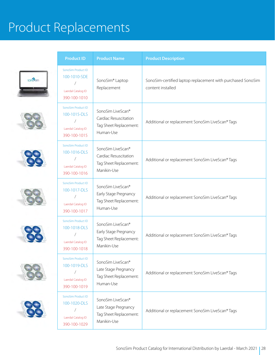













| <b>Product ID</b><br><b>Product Name</b> |                                                                                                                                                                              |                                                                                     | <b>Product Description</b>                                                       |  |
|------------------------------------------|------------------------------------------------------------------------------------------------------------------------------------------------------------------------------|-------------------------------------------------------------------------------------|----------------------------------------------------------------------------------|--|
|                                          | SonoSim Product ID<br>100-1010-SDE<br>$\sqrt{2}$<br>Laerdal Catalog ID<br>390-100-1010                                                                                       | SonoSim® Laptop<br>Replacement                                                      | SonoSim-certified laptop replacement with purchased SonoSim<br>content installed |  |
|                                          | SonoSim Product ID<br>100-1015-DLS<br>$\sqrt{2}$<br>Laerdal Catalog ID<br>390-100-1015                                                                                       | SonoSim LiveScan®<br>Cardiac Resuscitation<br>Tag Sheet Replacement:<br>Human-Use   | Additional or replacement SonoSim LiveScan® Tags                                 |  |
|                                          | SonoSim Product ID<br>100-1016-DLS<br>$\sqrt{2}$<br>Laerdal Catalog ID<br>390-100-1016                                                                                       | SonoSim LiveScan®<br>Cardiac Resuscitation<br>Tag Sheet Replacement:<br>Manikin-Use | Additional or replacement SonoSim LiveScan® Tags                                 |  |
|                                          | SonoSim Product ID<br>100-1017-DLS<br>$\sqrt{2}$<br>Laerdal Catalog ID<br>390-100-1017                                                                                       | SonoSim LiveScan®<br>Early Stage Pregnancy<br>Tag Sheet Replacement:<br>Human-Use   | Additional or replacement SonoSim LiveScan® Tags                                 |  |
|                                          | SonoSim Product ID<br>100-1018-DLS<br>Laerdal Catalog ID<br>390-100-1018                                                                                                     | SonoSim LiveScan®<br>Early Stage Pregnancy<br>Tag Sheet Replacement:<br>Manikin-Use | Additional or replacement SonoSim LiveScan® Tags                                 |  |
|                                          | SonoSim Product ID<br>100-1019-DLS<br>$\sqrt{2}$<br>Laerdal Catalog ID<br>390-100-1019                                                                                       | SonoSim LiveScan®<br>Late Stage Pregnancy<br>Tag Sheet Replacement:<br>Human-Use    | Additional or replacement SonoSim LiveScan® Tags                                 |  |
|                                          | SonoSim Product ID<br>SonoSim LiveScan®<br>100-1020-DLS<br>Late Stage Pregnancy<br>$\sqrt{2}$<br>Tag Sheet Replacement:<br>Laerdal Catalog ID<br>Manikin-Use<br>390-100-1029 |                                                                                     | Additional or replacement SonoSim LiveScan® Tags                                 |  |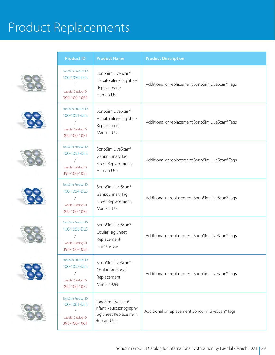













| <b>Product ID</b>                                                                                                                                                                | <b>Product Name</b>                                                                                                                               | <b>Product Description</b>                       |  |
|----------------------------------------------------------------------------------------------------------------------------------------------------------------------------------|---------------------------------------------------------------------------------------------------------------------------------------------------|--------------------------------------------------|--|
| SonoSim Product ID<br>100-1050-DLS<br>Laerdal Catalog ID<br>390-100-1050                                                                                                         | SonoSim LiveScan®<br>Hepatobiliary Tag Sheet<br>Replacement:<br>Human-Use                                                                         | Additional or replacement SonoSim LiveScan® Tags |  |
| SonoSim Product ID<br>SonoSim LiveScan®<br>100-1051-DLS<br>Hepatobiliary Tag Sheet<br>Replacement:<br>Laerdal Catalog ID<br>Manikin-Use<br>390-100-1051                          |                                                                                                                                                   | Additional or replacement SonoSim LiveScan® Tags |  |
| SonoSim Product ID<br>100-1053-DLS<br>Laerdal Catalog ID<br>390-100-1053                                                                                                         | SonoSim LiveScan®<br>Genitourinary Tag<br>Sheet Replacement:<br>Human-Use                                                                         | Additional or replacement SonoSim LiveScan® Tags |  |
| SonoSim Product ID<br>100-1054-DLS<br>Laerdal Catalog ID<br>390-100-1054                                                                                                         | SonoSim LiveScan®<br>Genitourinary Tag<br>Sheet Replacement:<br>Manikin-Use<br>SonoSim LiveScan®<br>Ocular Tag Sheet<br>Replacement:<br>Human-Use | Additional or replacement SonoSim LiveScan® Tags |  |
| SonoSim Product ID<br>100-1056-DLS<br>Laerdal Catalog ID<br>390-100-1056                                                                                                         |                                                                                                                                                   | Additional or replacement SonoSim LiveScan® Tags |  |
| SonoSim Product ID<br>100-1057-DLS<br>Ϊ<br>Laerdal Catalog ID<br>390-100-1057                                                                                                    | SonoSim LiveScan®<br>Ocular Tag Sheet<br>Replacement:<br>Manikin-Use                                                                              | Additional or replacement SonoSim LiveScan® Tags |  |
| SonoSim Product ID<br>SonoSim LiveScan®<br>100-1061-DLS<br>Infant Neurosonography<br>$\overline{1}$<br>Tag Sheet Replacement:<br>Laerdal Catalog ID<br>Human-Use<br>390-100-1061 |                                                                                                                                                   | Additional or replacement SonoSim LiveScan® Tags |  |